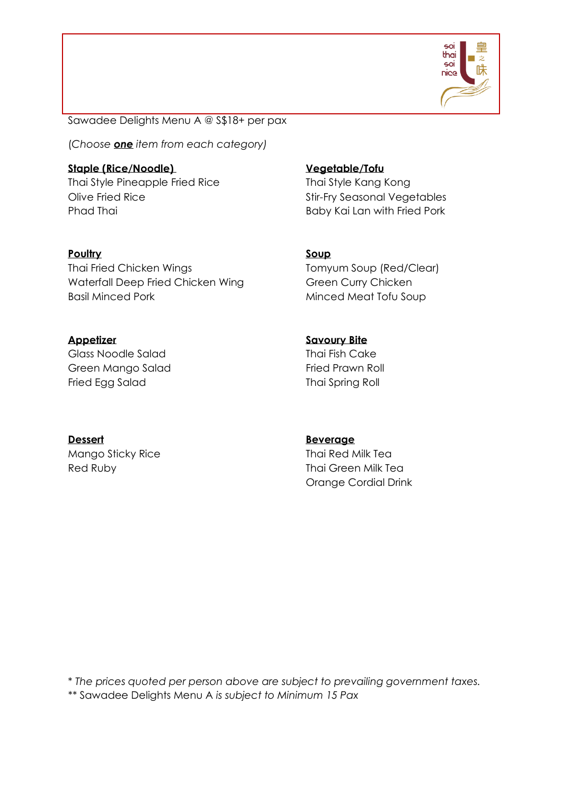

Sawadee Delights Menu A @ S\$18+ per pax

(*Choose one item from each category)*

**Staple (Rice/Noodle) Vegetable/Tofu** Thai Style Pineapple Fried Rice Thai Style Kang Kong Olive Fried Rice **Stir-Fry Seasonal Vegetables** Phad Thai **Baby Kai Lan with Fried Pork** 

**Poultry Soup**

Waterfall Deep Fried Chicken Wing Green Curry Chicken Basil Minced Pork Minced Meat Tofu Soup

Glass Noodle Salad Thai Fish Cake Green Mango Salad Fried Prawn Roll Fried Egg Salad Thai Spring Roll

Thai Fried Chicken Wings Thai Fried Chicken Wings Tomyum Soup (Red/Clear)

**Appetizer Savoury Bite**

**Dessert Beverage** Mango Sticky Rice Thai Red Milk Tea

Red Ruby Thai Green Milk Tea Orange Cordial Drink

\* *The prices quoted per person above are subject to prevailing government taxes. \*\** Sawadee Delights Menu A *is subject to Minimum 15 Pax*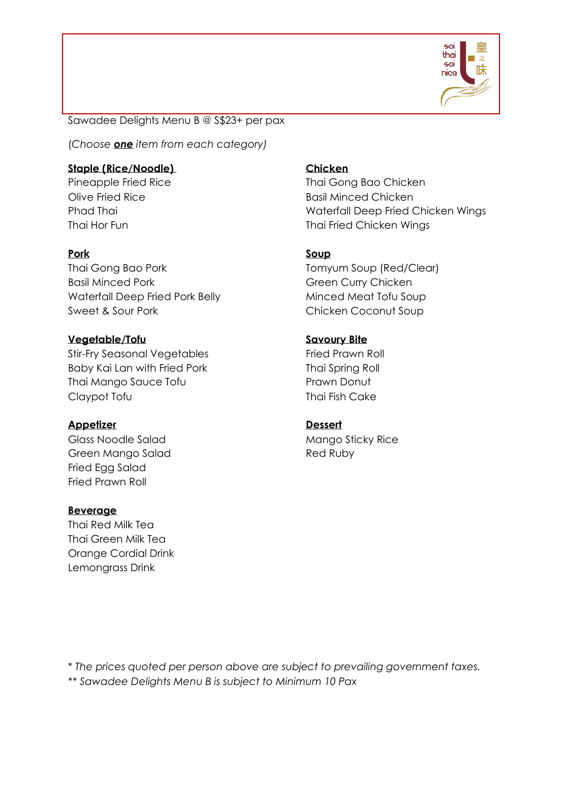

Sawadee Delights Menu B @ S\$23+ per pax

(*Choose one item from each category)*

## **Staple (Rice/Noodle) Chicken**

Thai Gong Bao Pork Tomyum Soup (Red/Clear) Basil Minced Pork Green Curry Chicken Waterfall Deep Fried Pork Belly Minced Meat Tofu Soup Sweet & Sour Pork Chicken Coconut Soup

# **Vegetable/Tofu Savoury Bite**

Stir-Fry Seasonal Vegetables Fried Prawn Roll Baby Kai Lan with Fried Pork Thai Spring Roll Thai Mango Sauce Tofu **Prawn Donut Prawn Donut** Claypot Tofu Thai Fish Cake

# **Appetizer Dessert**

Green Mango Salad Red Ruby Fried Egg Salad Fried Prawn Roll

## **Beverage**

Thai Red Milk Tea Thai Green Milk Tea Orange Cordial Drink Lemongrass Drink

Pineapple Fried Rice Thai Gong Bao Chicken Olive Fried Rice **Basil Minced Chicken** Phad Thai North Chicken Wings and Material Deep Fried Chicken Wings Thai Hor Fun Thai Fried Chicken Wings

# **Pork Soup**

Glass Noodle Salad Mango Sticky Rice

\* *The prices quoted per person above are subject to prevailing government taxes.*

*\*\* Sawadee Delights Menu B is subject to Minimum 10 Pax*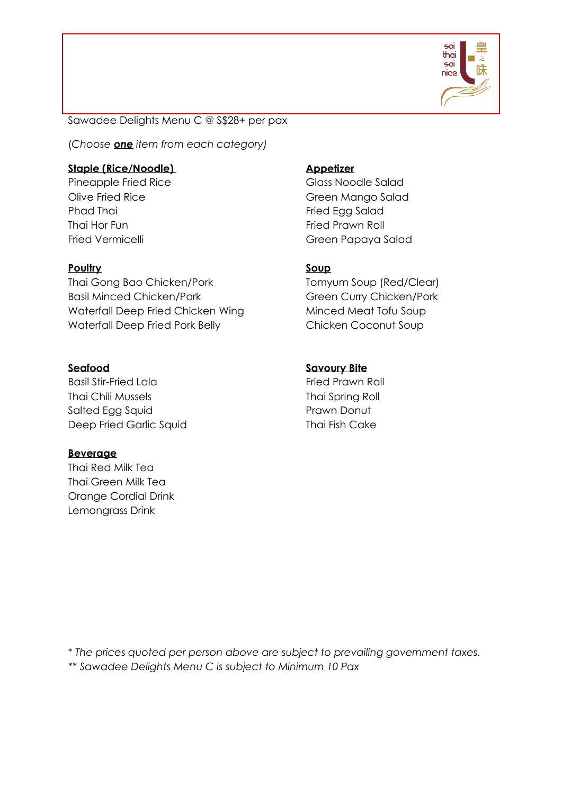

Sawadee Delights Menu C @ S\$28+ per pax

(*Choose one item from each category)*

## **Staple (Rice/Noodle) Appetizer**

Pineapple Fried Rice Glass Noodle Salad Phad Thai Fried Egg Salad Thai Hor Fun Fried Prawn Roll

### **Poultry Soup**

Thai Gong Bao Chicken/Pork Tomyum Soup (Red/Clear) Basil Minced Chicken/Pork Green Curry Chicken/Pork Waterfall Deep Fried Chicken Wing Minced Meat Tofu Soup Waterfall Deep Fried Pork Belly Chicken Coconut Soup

Basil Stir-Fried Lala Fried Prawn Roll Thai Chili Mussels Thai Spring Roll Salted Egg Squid **Prawn Donut** Deep Fried Garlic Squid Thai Fish Cake

### **Beverage**

Thai Red Milk Tea Thai Green Milk Tea Orange Cordial Drink Lemongrass Drink

Olive Fried Rice **Green Mango Salad** Fried Vermicelli Green Papaya Salad

### **Seafood Savoury Bite**

\* *The prices quoted per person above are subject to prevailing government taxes.*

*\*\* Sawadee Delights Menu C is subject to Minimum 10 Pax*